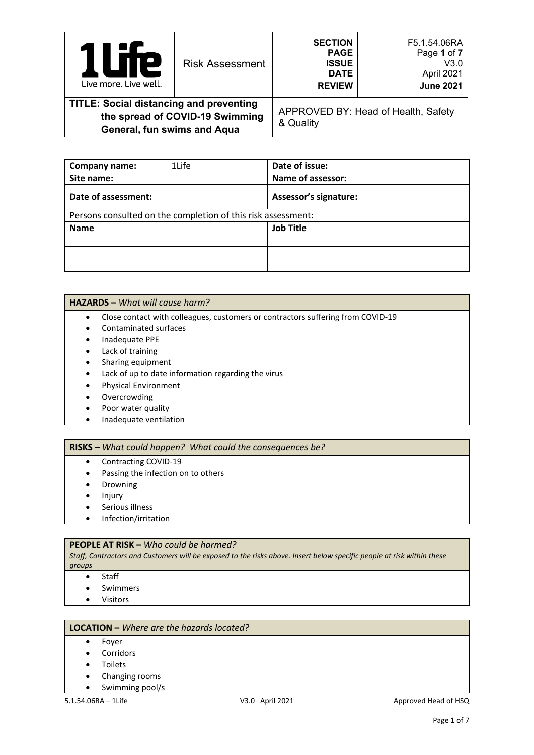| <b>TP</b><br>$\overline{\phantom{a}}$<br>Live more. Live well.                                                   | <b>Risk Assessment</b> | <b>SECTION</b><br><b>PAGE</b><br><b>ISSUE</b><br><b>DATE</b><br><b>REVIEW</b> | F5.1.54.06RA<br>Page 1 of 7<br>V3.0<br>April 2021<br><b>June 2021</b> |
|------------------------------------------------------------------------------------------------------------------|------------------------|-------------------------------------------------------------------------------|-----------------------------------------------------------------------|
| <b>TITLE: Social distancing and preventing</b><br>the spread of COVID-19 Swimming<br>General, fun swims and Aqua |                        | & Quality                                                                     | APPROVED BY: Head of Health, Safety                                   |

| Company name:       | 1Life                                                        | Date of issue:               |
|---------------------|--------------------------------------------------------------|------------------------------|
| Site name:          |                                                              | Name of assessor:            |
| Date of assessment: |                                                              | <b>Assessor's signature:</b> |
|                     | Persons consulted on the completion of this risk assessment: |                              |
| <b>Name</b>         |                                                              | <b>Job Title</b>             |
|                     |                                                              |                              |
|                     |                                                              |                              |
|                     |                                                              |                              |

#### **HAZARDS –** *What will cause harm?*

- Close contact with colleagues, customers or contractors suffering from COVID-19
- Contaminated surfaces
- Inadequate PPE
- Lack of training
- Sharing equipment
- Lack of up to date information regarding the virus
- Physical Environment
- Overcrowding
- Poor water quality
- Inadequate ventilation

## **RISKS –** *What could happen? What could the consequences be?*

- Contracting COVID-19
- Passing the infection on to others
- **Drowning**
- Injury
- Serious illness
- Infection/irritation

#### **PEOPLE AT RISK –** *Who could be harmed?*

*Staff, Contractors and Customers will be exposed to the risks above. Insert below specific people at risk within these groups*

- Staff
- **Swimmers**
- Visitors

### **LOCATION –** *Where are the hazards located?*

- Foyer
- **Corridors**
- **Toilets**
- Changing rooms
- Swimming pool/s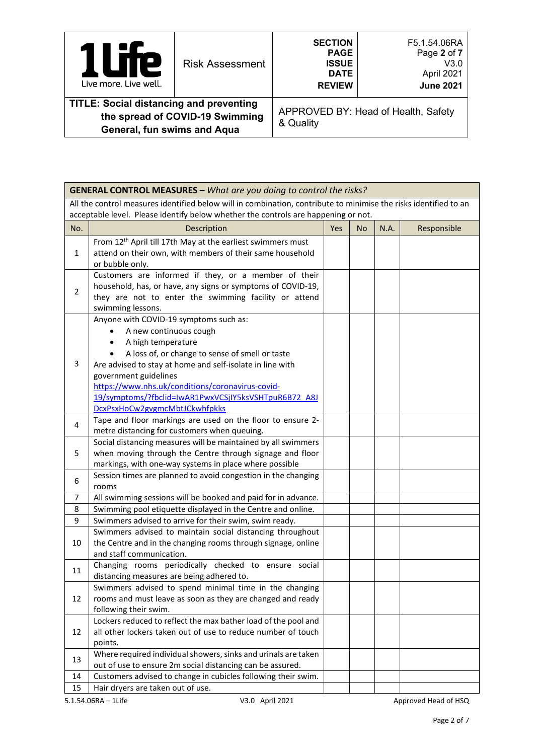| <b>TP</b><br>Live more. Live well.                                                                               | <b>Risk Assessment</b> | <b>SECTION</b><br><b>PAGE</b><br><b>ISSUE</b><br><b>DATE</b><br><b>REVIEW</b> | F5.1.54.06RA<br>Page 2 of 7<br>V3.0<br>April 2021<br><b>June 2021</b> |
|------------------------------------------------------------------------------------------------------------------|------------------------|-------------------------------------------------------------------------------|-----------------------------------------------------------------------|
| <b>TITLE: Social distancing and preventing</b><br>the spread of COVID-19 Swimming<br>General, fun swims and Aqua |                        | & Quality                                                                     | APPROVED BY: Head of Health, Safety                                   |

|                | <b>GENERAL CONTROL MEASURES - What are you doing to control the risks?</b>                                                |     |           |      |             |  |
|----------------|---------------------------------------------------------------------------------------------------------------------------|-----|-----------|------|-------------|--|
|                | All the control measures identified below will in combination, contribute to minimise the risks identified to an          |     |           |      |             |  |
|                | acceptable level. Please identify below whether the controls are happening or not.                                        |     |           |      |             |  |
| No.            | Description                                                                                                               | Yes | <b>No</b> | N.A. | Responsible |  |
|                | From 12 <sup>th</sup> April till 17th May at the earliest swimmers must                                                   |     |           |      |             |  |
| $\mathbf{1}$   | attend on their own, with members of their same household                                                                 |     |           |      |             |  |
|                | or bubble only.                                                                                                           |     |           |      |             |  |
|                | Customers are informed if they, or a member of their                                                                      |     |           |      |             |  |
| $\overline{2}$ | household, has, or have, any signs or symptoms of COVID-19,                                                               |     |           |      |             |  |
|                | they are not to enter the swimming facility or attend<br>swimming lessons.                                                |     |           |      |             |  |
|                | Anyone with COVID-19 symptoms such as:                                                                                    |     |           |      |             |  |
|                | A new continuous cough                                                                                                    |     |           |      |             |  |
|                | A high temperature                                                                                                        |     |           |      |             |  |
|                | A loss of, or change to sense of smell or taste                                                                           |     |           |      |             |  |
| 3              | Are advised to stay at home and self-isolate in line with                                                                 |     |           |      |             |  |
|                | government guidelines                                                                                                     |     |           |      |             |  |
|                | https://www.nhs.uk/conditions/coronavirus-covid-                                                                          |     |           |      |             |  |
|                | 19/symptoms/?fbclid=IwAR1PwxVCSjIY5ksVSHTpuR6B72_A8J                                                                      |     |           |      |             |  |
|                | DcxPsxHoCw2gvgmcMbtJCkwhfpkks                                                                                             |     |           |      |             |  |
| 4              | Tape and floor markings are used on the floor to ensure 2-                                                                |     |           |      |             |  |
|                | metre distancing for customers when queuing.                                                                              |     |           |      |             |  |
| 5              | Social distancing measures will be maintained by all swimmers<br>when moving through the Centre through signage and floor |     |           |      |             |  |
|                | markings, with one-way systems in place where possible                                                                    |     |           |      |             |  |
|                | Session times are planned to avoid congestion in the changing                                                             |     |           |      |             |  |
| 6              | rooms                                                                                                                     |     |           |      |             |  |
| 7              | All swimming sessions will be booked and paid for in advance.                                                             |     |           |      |             |  |
| 8              | Swimming pool etiquette displayed in the Centre and online.                                                               |     |           |      |             |  |
| 9              | Swimmers advised to arrive for their swim, swim ready.                                                                    |     |           |      |             |  |
|                | Swimmers advised to maintain social distancing throughout                                                                 |     |           |      |             |  |
| 10             | the Centre and in the changing rooms through signage, online                                                              |     |           |      |             |  |
|                | and staff communication.                                                                                                  |     |           |      |             |  |
| 11             | Changing rooms periodically checked to ensure social                                                                      |     |           |      |             |  |
|                | distancing measures are being adhered to.<br>Swimmers advised to spend minimal time in the changing                       |     |           |      |             |  |
| 12             | rooms and must leave as soon as they are changed and ready                                                                |     |           |      |             |  |
|                | following their swim.                                                                                                     |     |           |      |             |  |
|                | Lockers reduced to reflect the max bather load of the pool and                                                            |     |           |      |             |  |
| 12             | all other lockers taken out of use to reduce number of touch                                                              |     |           |      |             |  |
|                | points.                                                                                                                   |     |           |      |             |  |
| 13             | Where required individual showers, sinks and urinals are taken                                                            |     |           |      |             |  |
|                | out of use to ensure 2m social distancing can be assured.                                                                 |     |           |      |             |  |
| 14             | Customers advised to change in cubicles following their swim.                                                             |     |           |      |             |  |
| 15             | Hair dryers are taken out of use.                                                                                         |     |           |      |             |  |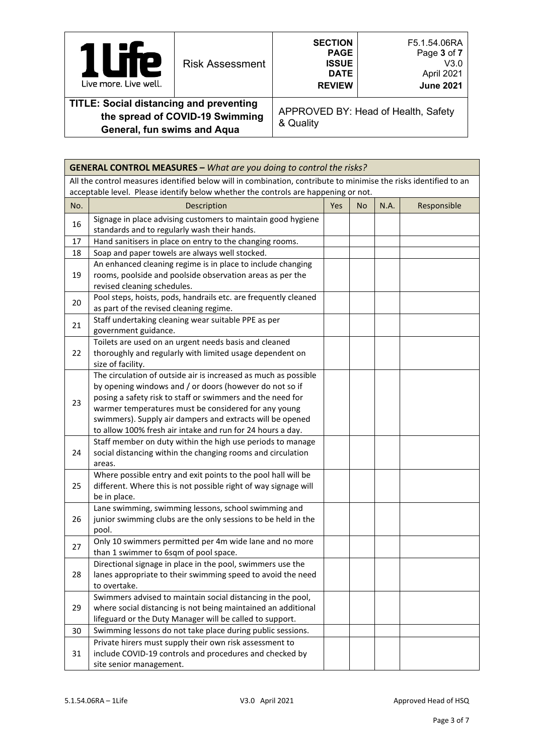| $\mathbf{P}$<br>Live more. Live well.                                              | <b>Risk Assessment</b> | <b>SECTION</b><br><b>PAGE</b><br><b>ISSUE</b><br><b>DATE</b><br><b>REVIEW</b> | F5.1.54.06RA<br>Page 3 of 7<br>V3.0<br>April 2021<br><b>June 2021</b> |
|------------------------------------------------------------------------------------|------------------------|-------------------------------------------------------------------------------|-----------------------------------------------------------------------|
| <b>TITLE: Social distancing and preventing</b><br>the spread of COVID 40 Culminism |                        |                                                                               | APPROVED BY: Head of Health, Safety                                   |

**the spread of COVID-19 Swimming General, fun swims and Aqua**

APPROVED BY: Head of Health, Safety & Quality

|     | <b>GENERAL CONTROL MEASURES - What are you doing to control the risks?</b>                                                                                                                                                                                                                                                                                                  |  |  |  |  |  |  |
|-----|-----------------------------------------------------------------------------------------------------------------------------------------------------------------------------------------------------------------------------------------------------------------------------------------------------------------------------------------------------------------------------|--|--|--|--|--|--|
|     | All the control measures identified below will in combination, contribute to minimise the risks identified to an<br>acceptable level. Please identify below whether the controls are happening or not.                                                                                                                                                                      |  |  |  |  |  |  |
| No. | N.A.<br>Responsible<br>Description<br>Yes<br><b>No</b>                                                                                                                                                                                                                                                                                                                      |  |  |  |  |  |  |
| 16  | Signage in place advising customers to maintain good hygiene<br>standards and to regularly wash their hands.                                                                                                                                                                                                                                                                |  |  |  |  |  |  |
| 17  | Hand sanitisers in place on entry to the changing rooms.                                                                                                                                                                                                                                                                                                                    |  |  |  |  |  |  |
| 18  | Soap and paper towels are always well stocked.                                                                                                                                                                                                                                                                                                                              |  |  |  |  |  |  |
| 19  | An enhanced cleaning regime is in place to include changing<br>rooms, poolside and poolside observation areas as per the<br>revised cleaning schedules.                                                                                                                                                                                                                     |  |  |  |  |  |  |
| 20  | Pool steps, hoists, pods, handrails etc. are frequently cleaned<br>as part of the revised cleaning regime.                                                                                                                                                                                                                                                                  |  |  |  |  |  |  |
| 21  | Staff undertaking cleaning wear suitable PPE as per<br>government guidance.                                                                                                                                                                                                                                                                                                 |  |  |  |  |  |  |
| 22  | Toilets are used on an urgent needs basis and cleaned<br>thoroughly and regularly with limited usage dependent on<br>size of facility.                                                                                                                                                                                                                                      |  |  |  |  |  |  |
| 23  | The circulation of outside air is increased as much as possible<br>by opening windows and / or doors (however do not so if<br>posing a safety risk to staff or swimmers and the need for<br>warmer temperatures must be considered for any young<br>swimmers). Supply air dampers and extracts will be opened<br>to allow 100% fresh air intake and run for 24 hours a day. |  |  |  |  |  |  |
| 24  | Staff member on duty within the high use periods to manage<br>social distancing within the changing rooms and circulation<br>areas.                                                                                                                                                                                                                                         |  |  |  |  |  |  |
| 25  | Where possible entry and exit points to the pool hall will be<br>different. Where this is not possible right of way signage will<br>be in place.                                                                                                                                                                                                                            |  |  |  |  |  |  |
| 26  | Lane swimming, swimming lessons, school swimming and<br>junior swimming clubs are the only sessions to be held in the<br>pool.                                                                                                                                                                                                                                              |  |  |  |  |  |  |
| 27  | Only 10 swimmers permitted per 4m wide lane and no more<br>than 1 swimmer to 6sqm of pool space.                                                                                                                                                                                                                                                                            |  |  |  |  |  |  |
| 28  | Directional signage in place in the pool, swimmers use the<br>lanes appropriate to their swimming speed to avoid the need<br>to overtake.                                                                                                                                                                                                                                   |  |  |  |  |  |  |
| 29  | Swimmers advised to maintain social distancing in the pool,<br>where social distancing is not being maintained an additional<br>lifeguard or the Duty Manager will be called to support.                                                                                                                                                                                    |  |  |  |  |  |  |
| 30  | Swimming lessons do not take place during public sessions.                                                                                                                                                                                                                                                                                                                  |  |  |  |  |  |  |
| 31  | Private hirers must supply their own risk assessment to<br>include COVID-19 controls and procedures and checked by<br>site senior management.                                                                                                                                                                                                                               |  |  |  |  |  |  |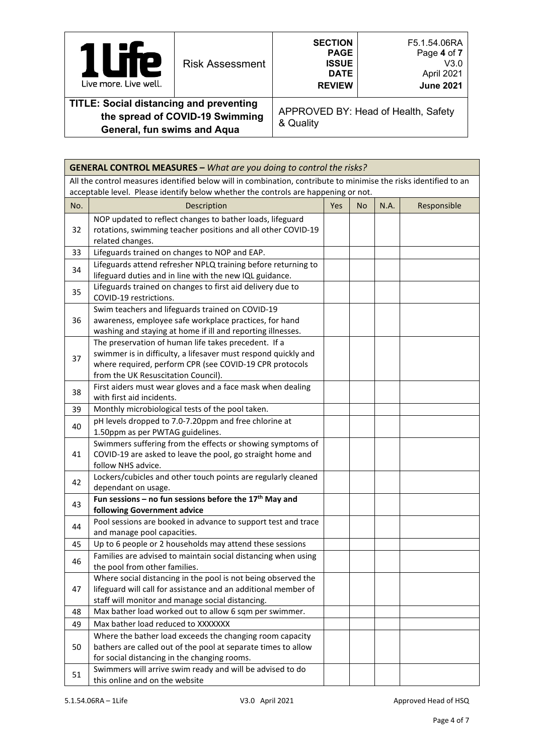| А<br>P<br>Live more. Live well.                                                   | <b>Risk Assessment</b> | <b>SECTION</b><br><b>PAGE</b><br><b>ISSUE</b><br><b>DATE</b><br><b>REVIEW</b> | F5.1.54.06RA<br>Page 4 of 7<br>V3.0<br>April 2021<br><b>June 2021</b> |
|-----------------------------------------------------------------------------------|------------------------|-------------------------------------------------------------------------------|-----------------------------------------------------------------------|
| <b>TITLE: Social distancing and preventing</b><br>the anneed of COVID 40 Pulmming |                        |                                                                               | APPROVED BY: Head of Health, Safety                                   |

**the spread of COVID-19 Swimming General, fun swims and Aqua**

APPROVED BY: Head of Health, Safety & Quality

|     | <b>GENERAL CONTROL MEASURES - What are you doing to control the risks?</b>                                                                                                                                               |     |           |      |             |
|-----|--------------------------------------------------------------------------------------------------------------------------------------------------------------------------------------------------------------------------|-----|-----------|------|-------------|
|     | All the control measures identified below will in combination, contribute to minimise the risks identified to an<br>acceptable level. Please identify below whether the controls are happening or not.                   |     |           |      |             |
| No. | Description                                                                                                                                                                                                              | Yes | <b>No</b> | N.A. | Responsible |
| 32  | NOP updated to reflect changes to bather loads, lifeguard<br>rotations, swimming teacher positions and all other COVID-19<br>related changes.                                                                            |     |           |      |             |
| 33  | Lifeguards trained on changes to NOP and EAP.                                                                                                                                                                            |     |           |      |             |
| 34  | Lifeguards attend refresher NPLQ training before returning to<br>lifeguard duties and in line with the new IQL guidance.                                                                                                 |     |           |      |             |
| 35  | Lifeguards trained on changes to first aid delivery due to<br>COVID-19 restrictions.                                                                                                                                     |     |           |      |             |
| 36  | Swim teachers and lifeguards trained on COVID-19<br>awareness, employee safe workplace practices, for hand<br>washing and staying at home if ill and reporting illnesses.                                                |     |           |      |             |
| 37  | The preservation of human life takes precedent. If a<br>swimmer is in difficulty, a lifesaver must respond quickly and<br>where required, perform CPR (see COVID-19 CPR protocols<br>from the UK Resuscitation Council). |     |           |      |             |
| 38  | First aiders must wear gloves and a face mask when dealing<br>with first aid incidents.                                                                                                                                  |     |           |      |             |
| 39  | Monthly microbiological tests of the pool taken.                                                                                                                                                                         |     |           |      |             |
| 40  | pH levels dropped to 7.0-7.20ppm and free chlorine at<br>1.50ppm as per PWTAG guidelines.                                                                                                                                |     |           |      |             |
| 41  | Swimmers suffering from the effects or showing symptoms of<br>COVID-19 are asked to leave the pool, go straight home and<br>follow NHS advice.                                                                           |     |           |      |             |
| 42  | Lockers/cubicles and other touch points are regularly cleaned<br>dependant on usage.                                                                                                                                     |     |           |      |             |
| 43  | Fun sessions – no fun sessions before the $17th$ May and<br>following Government advice                                                                                                                                  |     |           |      |             |
| 44  | Pool sessions are booked in advance to support test and trace<br>and manage pool capacities.                                                                                                                             |     |           |      |             |
| 45  | Up to 6 people or 2 households may attend these sessions                                                                                                                                                                 |     |           |      |             |
| 46  | Families are advised to maintain social distancing when using<br>the pool from other families.                                                                                                                           |     |           |      |             |
| 47  | Where social distancing in the pool is not being observed the<br>lifeguard will call for assistance and an additional member of<br>staff will monitor and manage social distancing.                                      |     |           |      |             |
| 48  | Max bather load worked out to allow 6 sqm per swimmer.                                                                                                                                                                   |     |           |      |             |
| 49  | Max bather load reduced to XXXXXXX                                                                                                                                                                                       |     |           |      |             |
| 50  | Where the bather load exceeds the changing room capacity<br>bathers are called out of the pool at separate times to allow<br>for social distancing in the changing rooms.                                                |     |           |      |             |
| 51  | Swimmers will arrive swim ready and will be advised to do<br>this online and on the website                                                                                                                              |     |           |      |             |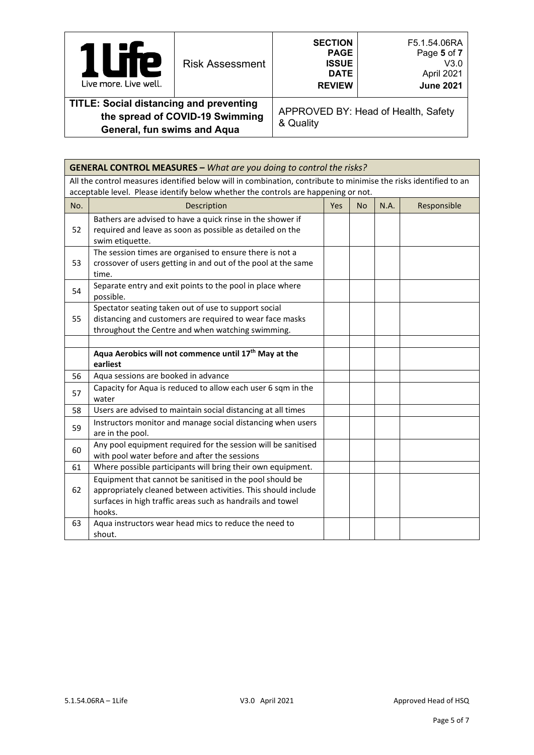| re<br>U<br>١<br>Live more. Live well.                                             | <b>Risk Assessment</b> | <b>SECTION</b><br><b>PAGE</b><br><b>ISSUE</b><br><b>DATE</b><br><b>REVIEW</b> | F5.1.54.06RA<br>Page 5 of 7<br>V3.0<br>April 2021<br><b>June 2021</b> |
|-----------------------------------------------------------------------------------|------------------------|-------------------------------------------------------------------------------|-----------------------------------------------------------------------|
| <b>TITLE: Social distancing and preventing</b><br>the enroad of COVID-10 Swimming |                        |                                                                               | APPROVED BY: Head of Health, Safety                                   |

**the spread of COVID-19 Swimming General, fun swims and Aqua**

APPROVED BY: Head of Health, Safety & Quality

|     | <b>GENERAL CONTROL MEASURES - What are you doing to control the risks?</b>                                       |     |           |      |             |  |
|-----|------------------------------------------------------------------------------------------------------------------|-----|-----------|------|-------------|--|
|     | All the control measures identified below will in combination, contribute to minimise the risks identified to an |     |           |      |             |  |
|     | acceptable level. Please identify below whether the controls are happening or not.                               |     |           |      |             |  |
| No. | Description                                                                                                      | Yes | <b>No</b> | N.A. | Responsible |  |
|     | Bathers are advised to have a quick rinse in the shower if                                                       |     |           |      |             |  |
| 52  | required and leave as soon as possible as detailed on the                                                        |     |           |      |             |  |
|     | swim etiquette.                                                                                                  |     |           |      |             |  |
|     | The session times are organised to ensure there is not a                                                         |     |           |      |             |  |
| 53  | crossover of users getting in and out of the pool at the same                                                    |     |           |      |             |  |
|     | time.                                                                                                            |     |           |      |             |  |
| 54  | Separate entry and exit points to the pool in place where                                                        |     |           |      |             |  |
|     | possible.                                                                                                        |     |           |      |             |  |
|     | Spectator seating taken out of use to support social                                                             |     |           |      |             |  |
| 55  | distancing and customers are required to wear face masks                                                         |     |           |      |             |  |
|     | throughout the Centre and when watching swimming.                                                                |     |           |      |             |  |
|     |                                                                                                                  |     |           |      |             |  |
|     | Aqua Aerobics will not commence until 17 <sup>th</sup> May at the                                                |     |           |      |             |  |
|     | earliest                                                                                                         |     |           |      |             |  |
| 56  | Aqua sessions are booked in advance                                                                              |     |           |      |             |  |
| 57  | Capacity for Aqua is reduced to allow each user 6 sqm in the                                                     |     |           |      |             |  |
|     | water                                                                                                            |     |           |      |             |  |
| 58  | Users are advised to maintain social distancing at all times                                                     |     |           |      |             |  |
| 59  | Instructors monitor and manage social distancing when users                                                      |     |           |      |             |  |
|     | are in the pool.                                                                                                 |     |           |      |             |  |
|     | Any pool equipment required for the session will be sanitised                                                    |     |           |      |             |  |
| 60  | with pool water before and after the sessions                                                                    |     |           |      |             |  |
| 61  | Where possible participants will bring their own equipment.                                                      |     |           |      |             |  |
|     | Equipment that cannot be sanitised in the pool should be                                                         |     |           |      |             |  |
| 62  | appropriately cleaned between activities. This should include                                                    |     |           |      |             |  |
|     | surfaces in high traffic areas such as handrails and towel                                                       |     |           |      |             |  |
|     | hooks.                                                                                                           |     |           |      |             |  |
| 63  | Aqua instructors wear head mics to reduce the need to                                                            |     |           |      |             |  |
|     | shout.                                                                                                           |     |           |      |             |  |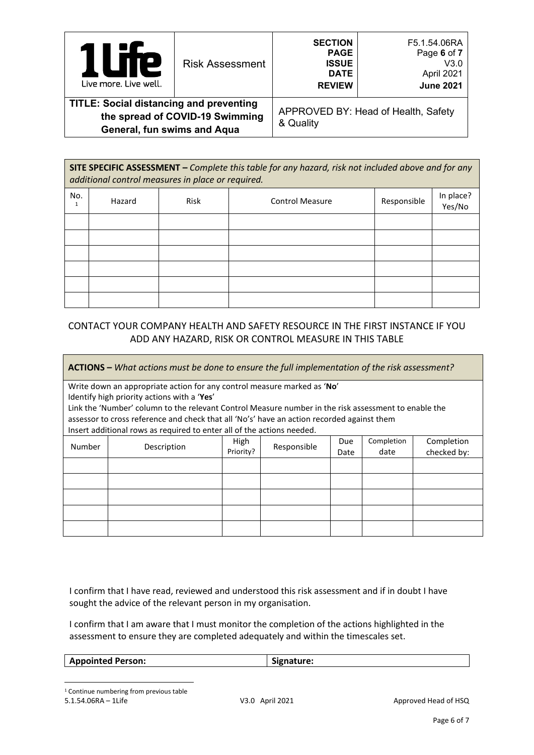| <b>Te</b><br>I<br>$\overline{\phantom{a}}$<br>Live more. Live well.                                              | <b>Risk Assessment</b> | <b>SECTION</b><br><b>PAGE</b><br><b>ISSUE</b><br><b>DATE</b><br><b>REVIEW</b> | F5.1.54.06RA<br>Page 6 of 7<br>V3.0<br>April 2021<br><b>June 2021</b> |
|------------------------------------------------------------------------------------------------------------------|------------------------|-------------------------------------------------------------------------------|-----------------------------------------------------------------------|
| <b>TITLE: Social distancing and preventing</b><br>the spread of COVID-19 Swimming<br>General, fun swims and Aqua |                        | & Quality                                                                     | APPROVED BY: Head of Health, Safety                                   |

|     | SITE SPECIFIC ASSESSMENT - Complete this table for any hazard, risk not included above and for any<br>additional control measures in place or required. |             |                        |             |                     |  |  |
|-----|---------------------------------------------------------------------------------------------------------------------------------------------------------|-------------|------------------------|-------------|---------------------|--|--|
| No. | Hazard                                                                                                                                                  | <b>Risk</b> | <b>Control Measure</b> | Responsible | In place?<br>Yes/No |  |  |
|     |                                                                                                                                                         |             |                        |             |                     |  |  |
|     |                                                                                                                                                         |             |                        |             |                     |  |  |
|     |                                                                                                                                                         |             |                        |             |                     |  |  |
|     |                                                                                                                                                         |             |                        |             |                     |  |  |
|     |                                                                                                                                                         |             |                        |             |                     |  |  |
|     |                                                                                                                                                         |             |                        |             |                     |  |  |

# CONTACT YOUR COMPANY HEALTH AND SAFETY RESOURCE IN THE FIRST INSTANCE IF YOU ADD ANY HAZARD, RISK OR CONTROL MEASURE IN THIS TABLE

**ACTIONS –** *What actions must be done to ensure the full implementation of the risk assessment?*

Write down an appropriate action for any control measure marked as '**No**' Identify high priority actions with a '**Yes**'

Link the 'Number' column to the relevant Control Measure number in the risk assessment to enable the assessor to cross reference and check that all 'No's' have an action recorded against them Insert additional rows as required to enter all of the actions needed.

| modificational romo as required to enter an orient actions necaear |             |                   |             |             |                    |                           |  |
|--------------------------------------------------------------------|-------------|-------------------|-------------|-------------|--------------------|---------------------------|--|
| Number                                                             | Description | High<br>Priority? | Responsible | Due<br>Date | Completion<br>date | Completion<br>checked by: |  |
|                                                                    |             |                   |             |             |                    |                           |  |
|                                                                    |             |                   |             |             |                    |                           |  |
|                                                                    |             |                   |             |             |                    |                           |  |
|                                                                    |             |                   |             |             |                    |                           |  |
|                                                                    |             |                   |             |             |                    |                           |  |

I confirm that I have read, reviewed and understood this risk assessment and if in doubt I have sought the advice of the relevant person in my organisation.

I confirm that I am aware that I must monitor the completion of the actions highlighted in the assessment to ensure they are completed adequately and within the timescales set.

<span id="page-5-0"></span>

| <b>Appointed Person:</b> | Signature: |
|--------------------------|------------|
|                          |            |